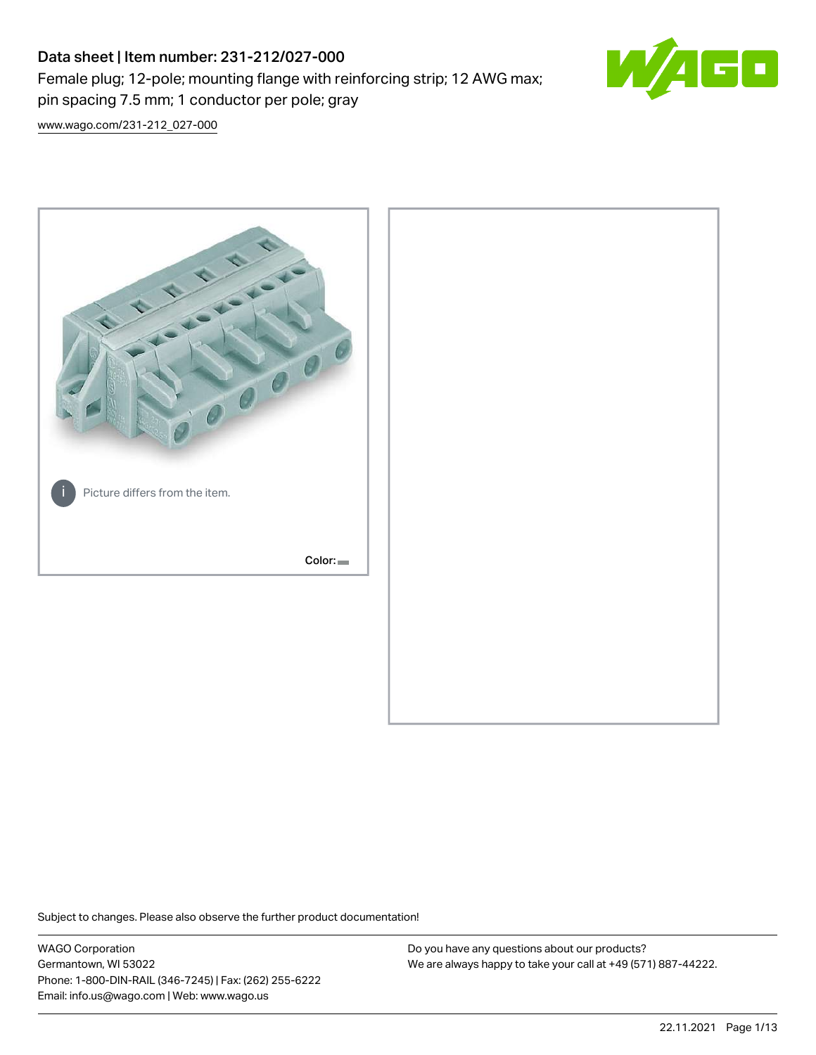# Data sheet | Item number: 231-212/027-000 Female plug; 12-pole; mounting flange with reinforcing strip; 12 AWG max; pin spacing 7.5 mm; 1 conductor per pole; gray



[www.wago.com/231-212\\_027-000](http://www.wago.com/231-212_027-000)



Subject to changes. Please also observe the further product documentation!

WAGO Corporation Germantown, WI 53022 Phone: 1-800-DIN-RAIL (346-7245) | Fax: (262) 255-6222 Email: info.us@wago.com | Web: www.wago.us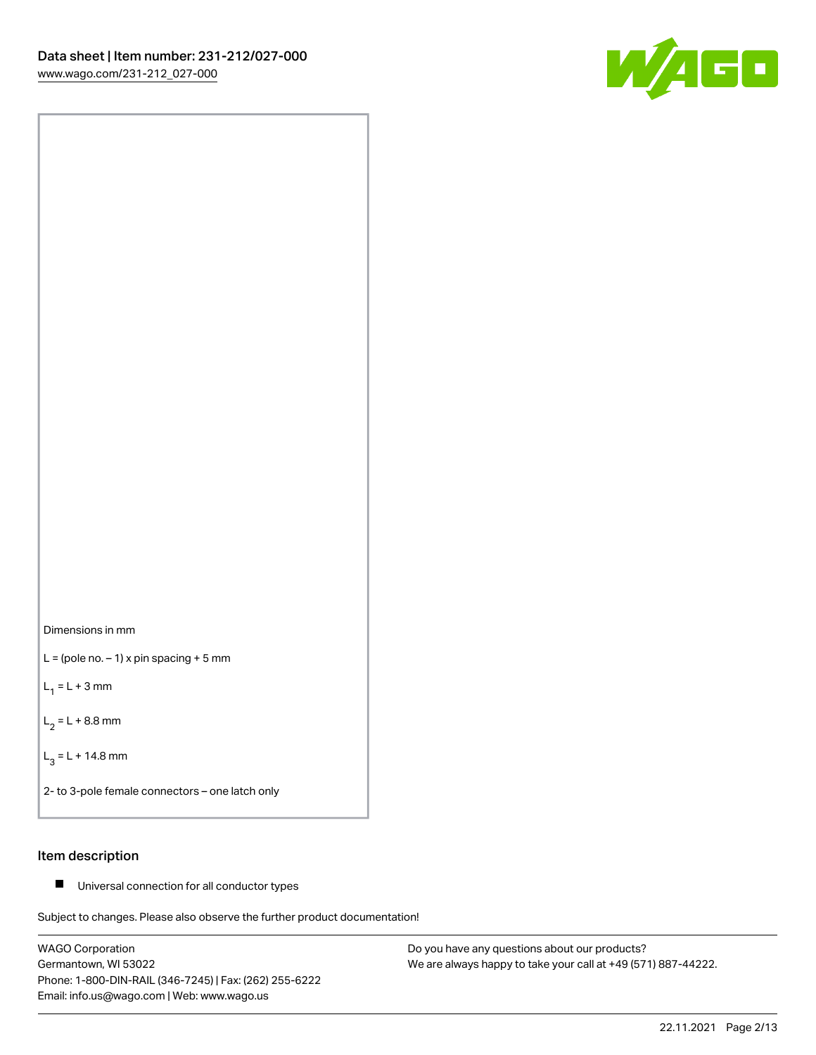



 $L =$  (pole no.  $-1$ ) x pin spacing + 5 mm

 $L_1 = L + 3$  mm

 $L_2 = L + 8.8$  mm

 $L_3 = L + 14.8$  mm

2- to 3-pole female connectors – one latch only

### Item description

■ Universal connection for all conductor types

Subject to changes. Please also observe the further product documentation!

WAGO Corporation Germantown, WI 53022 Phone: 1-800-DIN-RAIL (346-7245) | Fax: (262) 255-6222 Email: info.us@wago.com | Web: www.wago.us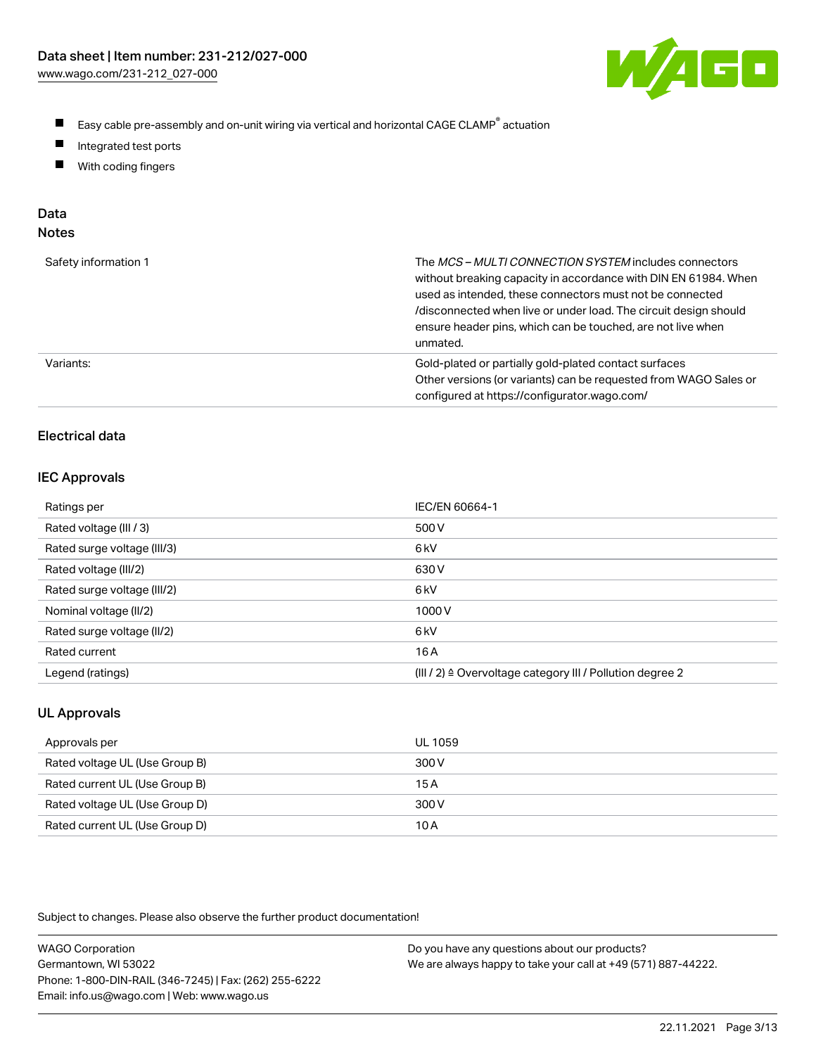

- $\blacksquare$ Easy cable pre-assembly and on-unit wiring via vertical and horizontal CAGE CLAMP<sup>®</sup> actuation
- $\blacksquare$ Integrated test ports
- $\blacksquare$ With coding fingers

## Data

| Safety information 1 | The MCS-MULTI CONNECTION SYSTEM includes connectors<br>without breaking capacity in accordance with DIN EN 61984. When<br>used as intended, these connectors must not be connected<br>/disconnected when live or under load. The circuit design should<br>ensure header pins, which can be touched, are not live when<br>unmated. |
|----------------------|-----------------------------------------------------------------------------------------------------------------------------------------------------------------------------------------------------------------------------------------------------------------------------------------------------------------------------------|
| Variants:            | Gold-plated or partially gold-plated contact surfaces<br>Other versions (or variants) can be requested from WAGO Sales or<br>configured at https://configurator.wago.com/                                                                                                                                                         |

### Electrical data

### IEC Approvals

| Ratings per                 | IEC/EN 60664-1                                                        |
|-----------------------------|-----------------------------------------------------------------------|
| Rated voltage (III / 3)     | 500 V                                                                 |
| Rated surge voltage (III/3) | 6 <sub>k</sub> V                                                      |
| Rated voltage (III/2)       | 630 V                                                                 |
| Rated surge voltage (III/2) | 6 kV                                                                  |
| Nominal voltage (II/2)      | 1000V                                                                 |
| Rated surge voltage (II/2)  | 6 kV                                                                  |
| Rated current               | 16A                                                                   |
| Legend (ratings)            | $(III / 2)$ $\triangle$ Overvoltage category III / Pollution degree 2 |

### UL Approvals

| Approvals per                  | UL 1059 |
|--------------------------------|---------|
| Rated voltage UL (Use Group B) | 300 V   |
| Rated current UL (Use Group B) | 15 A    |
| Rated voltage UL (Use Group D) | 300 V   |
| Rated current UL (Use Group D) | 10 A    |

| <b>WAGO Corporation</b>                                | Do you have any questions about our products?                 |
|--------------------------------------------------------|---------------------------------------------------------------|
| Germantown, WI 53022                                   | We are always happy to take your call at +49 (571) 887-44222. |
| Phone: 1-800-DIN-RAIL (346-7245)   Fax: (262) 255-6222 |                                                               |
| Email: info.us@wago.com   Web: www.wago.us             |                                                               |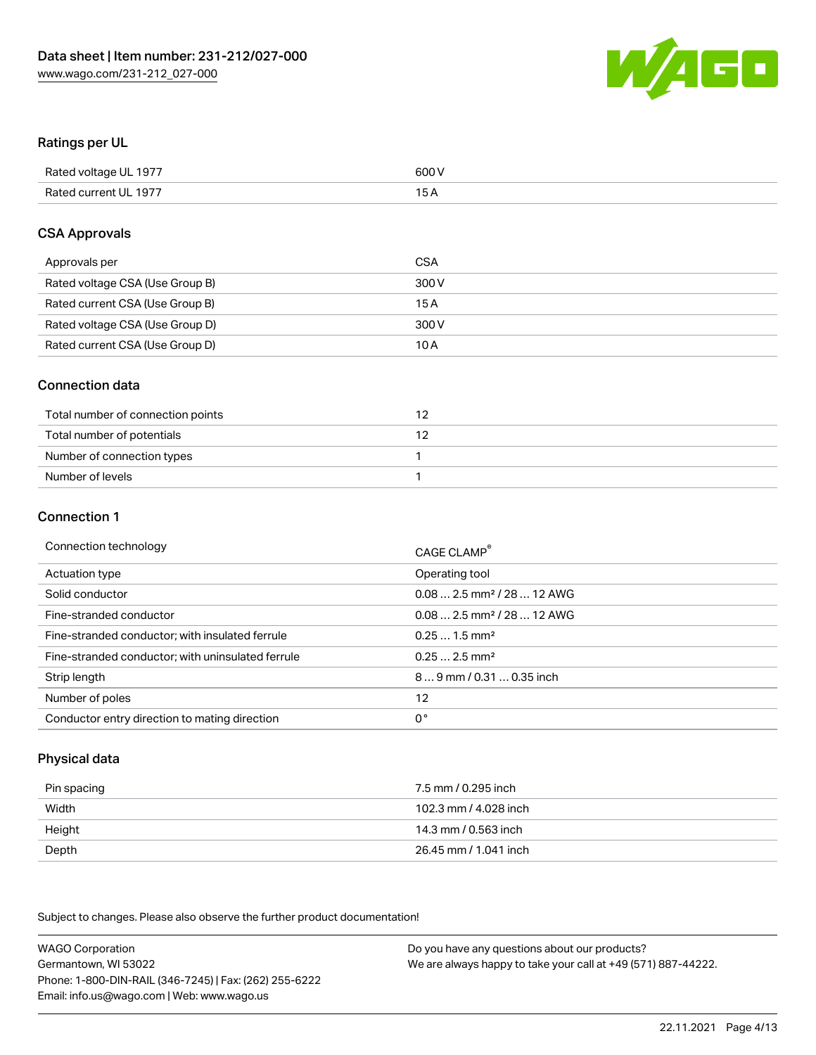

### Ratings per UL

| Rated voltage UL 1977 | 600 V |
|-----------------------|-------|
| Rated current UL 1977 | 1 L   |

### CSA Approvals

| Approvals per                   | CSA   |
|---------------------------------|-------|
| Rated voltage CSA (Use Group B) | 300 V |
| Rated current CSA (Use Group B) | 15 A  |
| Rated voltage CSA (Use Group D) | 300 V |
| Rated current CSA (Use Group D) | 10 A  |

### Connection data

| Total number of connection points |  |
|-----------------------------------|--|
| Total number of potentials        |  |
| Number of connection types        |  |
| Number of levels                  |  |

#### Connection 1

| Connection technology                             | CAGE CLAMP <sup>®</sup>                 |
|---------------------------------------------------|-----------------------------------------|
| Actuation type                                    | Operating tool                          |
| Solid conductor                                   | $0.082.5$ mm <sup>2</sup> / 28  12 AWG  |
| Fine-stranded conductor                           | $0.08$ 2.5 mm <sup>2</sup> / 28  12 AWG |
| Fine-stranded conductor; with insulated ferrule   | $0.251.5$ mm <sup>2</sup>               |
| Fine-stranded conductor; with uninsulated ferrule | $0.252.5$ mm <sup>2</sup>               |
| Strip length                                      | 89 mm / 0.31  0.35 inch                 |
| Number of poles                                   | 12                                      |
| Conductor entry direction to mating direction     | 0°                                      |

### Physical data

| Pin spacing | 7.5 mm / 0.295 inch   |
|-------------|-----------------------|
| Width       | 102.3 mm / 4.028 inch |
| Height      | 14.3 mm / 0.563 inch  |
| Depth       | 26.45 mm / 1.041 inch |

Subject to changes. Please also observe the further product documentation!

WAGO Corporation Germantown, WI 53022 Phone: 1-800-DIN-RAIL (346-7245) | Fax: (262) 255-6222 Email: info.us@wago.com | Web: www.wago.us Do you have any questions about our products? We are always happy to take your call at +49 (571) 887-44222.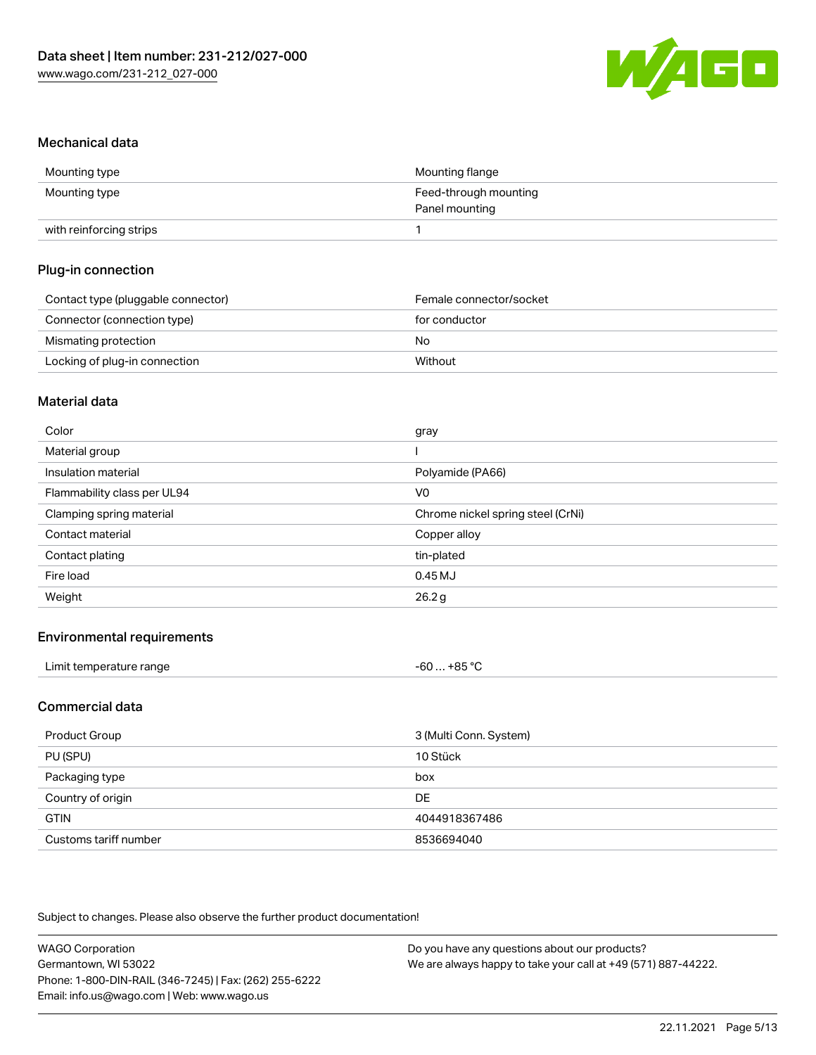

#### Mechanical data

| Mounting type           | Mounting flange       |
|-------------------------|-----------------------|
| Mounting type           | Feed-through mounting |
|                         | Panel mounting        |
| with reinforcing strips |                       |

### Plug-in connection

| Contact type (pluggable connector) | Female connector/socket |
|------------------------------------|-------------------------|
| Connector (connection type)        | for conductor           |
| Mismating protection               | No                      |
| Locking of plug-in connection      | Without                 |

#### Material data

| Color                       | gray                              |
|-----------------------------|-----------------------------------|
| Material group              |                                   |
| Insulation material         | Polyamide (PA66)                  |
| Flammability class per UL94 | V0                                |
| Clamping spring material    | Chrome nickel spring steel (CrNi) |
| Contact material            | Copper alloy                      |
| Contact plating             | tin-plated                        |
| Fire load                   | 0.45MJ                            |
| Weight                      | 26.2g                             |

### Environmental requirements

### Commercial data

| Product Group         | 3 (Multi Conn. System) |
|-----------------------|------------------------|
| PU (SPU)              | 10 Stück               |
| Packaging type        | box                    |
| Country of origin     | <b>DE</b>              |
| <b>GTIN</b>           | 4044918367486          |
| Customs tariff number | 8536694040             |

| <b>WAGO Corporation</b>                                | Do you have any questions about our products?                 |
|--------------------------------------------------------|---------------------------------------------------------------|
| Germantown, WI 53022                                   | We are always happy to take your call at +49 (571) 887-44222. |
| Phone: 1-800-DIN-RAIL (346-7245)   Fax: (262) 255-6222 |                                                               |
| Email: info.us@wago.com   Web: www.wago.us             |                                                               |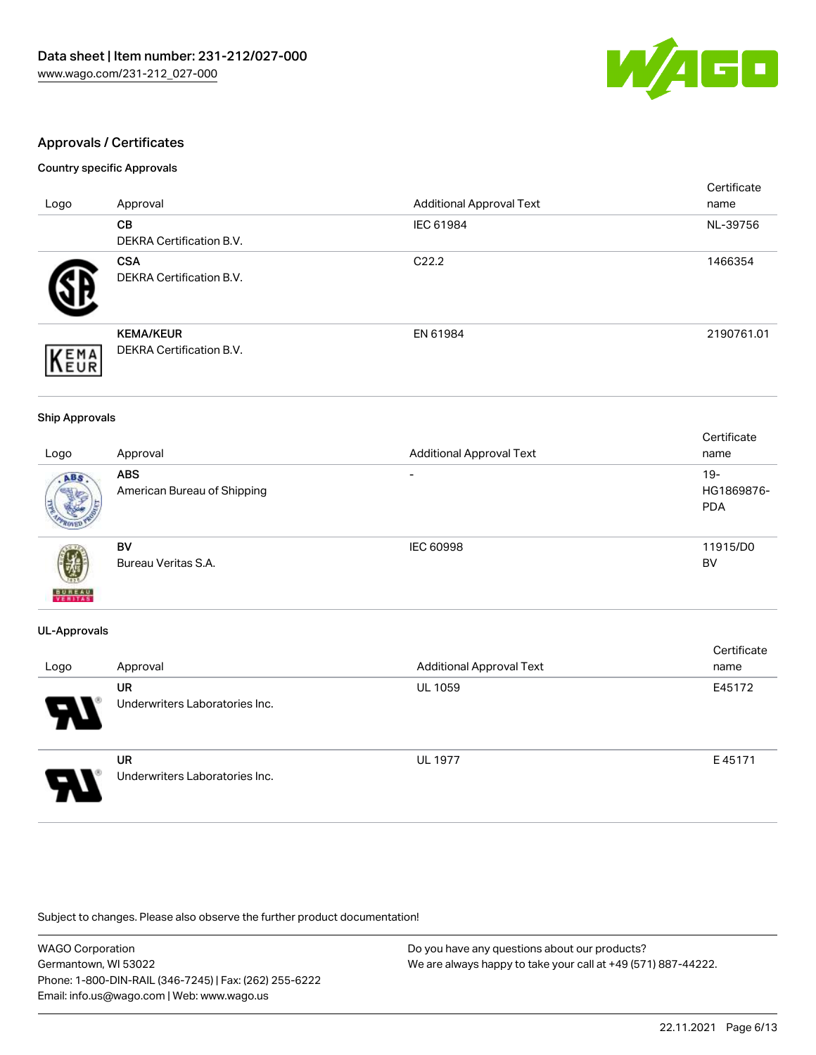

### Approvals / Certificates

#### Country specific Approvals

|                     |                                                     |                                 | Certificate |
|---------------------|-----------------------------------------------------|---------------------------------|-------------|
| Logo                | Approval                                            | <b>Additional Approval Text</b> | name        |
|                     | CВ<br><b>DEKRA Certification B.V.</b>               | IEC 61984                       | NL-39756    |
|                     | <b>CSA</b><br>DEKRA Certification B.V.              | C <sub>22.2</sub>               | 1466354     |
| EMA<br><b>INEUR</b> | <b>KEMA/KEUR</b><br><b>DEKRA Certification B.V.</b> | EN 61984                        | 2190761.01  |

#### Ship Approvals

|                          |                             |                                 | Certificate |
|--------------------------|-----------------------------|---------------------------------|-------------|
| Logo                     | Approval                    | <b>Additional Approval Text</b> | name        |
| ABS                      | <b>ABS</b>                  | $\overline{\phantom{0}}$        | $19 -$      |
|                          | American Bureau of Shipping |                                 | HG1869876-  |
|                          |                             |                                 | <b>PDA</b>  |
|                          |                             |                                 |             |
|                          | BV                          | <b>IEC 60998</b>                | 11915/D0    |
| Ŵ                        | Bureau Veritas S.A.         |                                 | BV          |
| <b>BUREAU</b><br>VERITAS |                             |                                 |             |

#### UL-Approvals

| Logo | Approval                             | <b>Additional Approval Text</b> | Certificate<br>name |
|------|--------------------------------------|---------------------------------|---------------------|
| 8    | UR<br>Underwriters Laboratories Inc. | <b>UL 1059</b>                  | E45172              |
| 8.   | UR<br>Underwriters Laboratories Inc. | <b>UL 1977</b>                  | E45171              |

| <b>WAGO Corporation</b>                                | Do you have any questions about our products?                 |
|--------------------------------------------------------|---------------------------------------------------------------|
| Germantown, WI 53022                                   | We are always happy to take your call at +49 (571) 887-44222. |
| Phone: 1-800-DIN-RAIL (346-7245)   Fax: (262) 255-6222 |                                                               |
| Email: info.us@wago.com   Web: www.wago.us             |                                                               |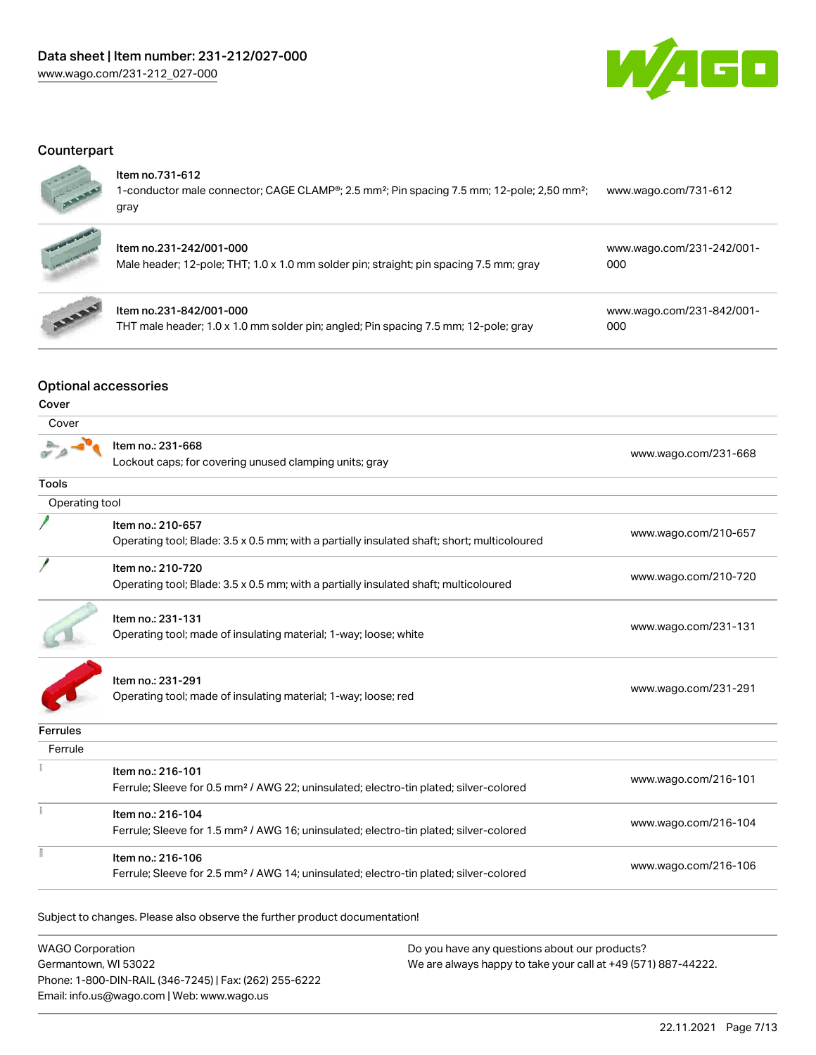

### **Counterpart**



### Item no.731-612

1-conductor male connector; CAGE CLAMP®; 2.5 mm²; Pin spacing 7.5 mm; 12-pole; 2,50 mm²; gray [www.wago.com/731-612](https://www.wago.com/731-612)



### Item no.231-242/001-000

| Male header; 12-pole; THT; 1.0 x 1.0 mm solder pin; straight; pin spacing 7.5 mm; gray | 000 |  |
|----------------------------------------------------------------------------------------|-----|--|
|                                                                                        |     |  |



### Item no.231-842/001-000

THT male header; 1.0 x 1.0 mm solder pin; angled; Pin spacing 7.5 mm; 12-pole; gray

[www.wago.com/231-842/001-](https://www.wago.com/231-842/001-000) [000](https://www.wago.com/231-842/001-000)

[www.wago.com/231-242/001-](https://www.wago.com/231-242/001-000)

### Optional accessories

| ٦<br>۰.<br>v<br>w<br>×<br>۹<br>M.<br> |
|---------------------------------------|
|---------------------------------------|

| Cover           |                                                                                                                        |                      |
|-----------------|------------------------------------------------------------------------------------------------------------------------|----------------------|
|                 | Item no.: 231-668<br>Lockout caps; for covering unused clamping units; gray                                            | www.wago.com/231-668 |
| Tools           |                                                                                                                        |                      |
| Operating tool  |                                                                                                                        |                      |
|                 | Item no.: 210-657<br>Operating tool; Blade: 3.5 x 0.5 mm; with a partially insulated shaft; short; multicoloured       | www.wago.com/210-657 |
|                 | Item no.: 210-720<br>Operating tool; Blade: 3.5 x 0.5 mm; with a partially insulated shaft; multicoloured              | www.wago.com/210-720 |
|                 | Item no.: 231-131<br>Operating tool; made of insulating material; 1-way; loose; white                                  | www.wago.com/231-131 |
|                 | Item no.: 231-291<br>Operating tool; made of insulating material; 1-way; loose; red                                    | www.wago.com/231-291 |
| <b>Ferrules</b> |                                                                                                                        |                      |
| Ferrule         |                                                                                                                        |                      |
|                 | Item no.: 216-101<br>Ferrule; Sleeve for 0.5 mm <sup>2</sup> / AWG 22; uninsulated; electro-tin plated; silver-colored | www.wago.com/216-101 |
|                 | Item no.: 216-104<br>Ferrule; Sleeve for 1.5 mm <sup>2</sup> / AWG 16; uninsulated; electro-tin plated; silver-colored | www.wago.com/216-104 |
|                 | Item no.: 216-106<br>Ferrule; Sleeve for 2.5 mm <sup>2</sup> / AWG 14; uninsulated; electro-tin plated; silver-colored | www.wago.com/216-106 |
|                 |                                                                                                                        |                      |

| <b>WAGO Corporation</b>                                | Do you have any questions about our products?                 |
|--------------------------------------------------------|---------------------------------------------------------------|
| Germantown, WI 53022                                   | We are always happy to take your call at +49 (571) 887-44222. |
| Phone: 1-800-DIN-RAIL (346-7245)   Fax: (262) 255-6222 |                                                               |
| Email: info.us@wago.com   Web: www.wago.us             |                                                               |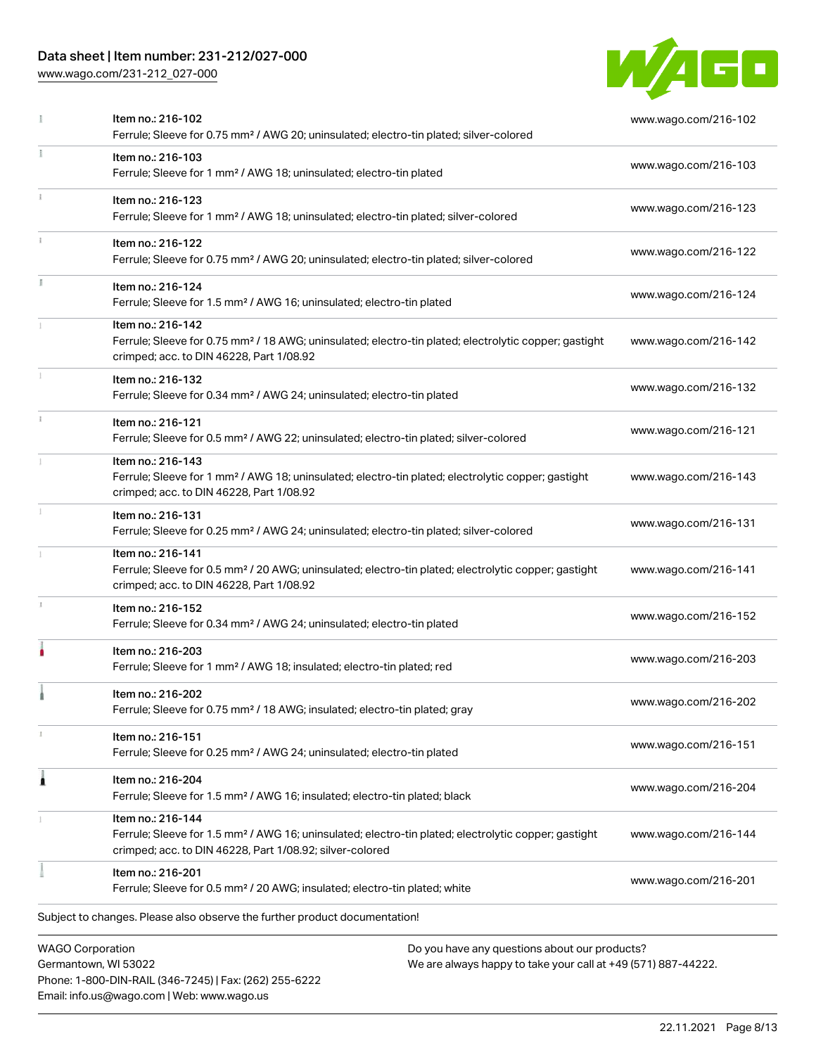### Data sheet | Item number: 231-212/027-000

[www.wago.com/231-212\\_027-000](http://www.wago.com/231-212_027-000)

Email: info.us@wago.com | Web: www.wago.us



|   | Item no.: 216-102<br>Ferrule; Sleeve for 0.75 mm <sup>2</sup> / AWG 20; uninsulated; electro-tin plated; silver-colored                                                                                                     | www.wago.com/216-102 |
|---|-----------------------------------------------------------------------------------------------------------------------------------------------------------------------------------------------------------------------------|----------------------|
|   | Item no.: 216-103<br>Ferrule; Sleeve for 1 mm <sup>2</sup> / AWG 18; uninsulated; electro-tin plated                                                                                                                        | www.wago.com/216-103 |
|   | Item no.: 216-123<br>Ferrule; Sleeve for 1 mm <sup>2</sup> / AWG 18; uninsulated; electro-tin plated; silver-colored                                                                                                        | www.wago.com/216-123 |
|   | Item no.: 216-122<br>Ferrule; Sleeve for 0.75 mm <sup>2</sup> / AWG 20; uninsulated; electro-tin plated; silver-colored                                                                                                     | www.wago.com/216-122 |
|   | Item no.: 216-124<br>Ferrule; Sleeve for 1.5 mm <sup>2</sup> / AWG 16; uninsulated; electro-tin plated                                                                                                                      | www.wago.com/216-124 |
|   | Item no.: 216-142<br>Ferrule; Sleeve for 0.75 mm <sup>2</sup> / 18 AWG; uninsulated; electro-tin plated; electrolytic copper; gastight<br>crimped; acc. to DIN 46228, Part 1/08.92                                          | www.wago.com/216-142 |
|   | Item no.: 216-132<br>Ferrule; Sleeve for 0.34 mm <sup>2</sup> / AWG 24; uninsulated; electro-tin plated                                                                                                                     | www.wago.com/216-132 |
|   | Item no.: 216-121<br>Ferrule; Sleeve for 0.5 mm <sup>2</sup> / AWG 22; uninsulated; electro-tin plated; silver-colored                                                                                                      | www.wago.com/216-121 |
|   | Item no.: 216-143<br>Ferrule; Sleeve for 1 mm <sup>2</sup> / AWG 18; uninsulated; electro-tin plated; electrolytic copper; gastight<br>crimped; acc. to DIN 46228, Part 1/08.92                                             | www.wago.com/216-143 |
|   | Item no.: 216-131<br>Ferrule; Sleeve for 0.25 mm <sup>2</sup> / AWG 24; uninsulated; electro-tin plated; silver-colored                                                                                                     | www.wago.com/216-131 |
|   | Item no.: 216-141<br>Ferrule; Sleeve for 0.5 mm <sup>2</sup> / 20 AWG; uninsulated; electro-tin plated; electrolytic copper; gastight<br>crimped; acc. to DIN 46228, Part 1/08.92                                           | www.wago.com/216-141 |
|   | Item no.: 216-152<br>Ferrule; Sleeve for 0.34 mm <sup>2</sup> / AWG 24; uninsulated; electro-tin plated                                                                                                                     | www.wago.com/216-152 |
|   | Item no.: 216-203<br>Ferrule; Sleeve for 1 mm <sup>2</sup> / AWG 18; insulated; electro-tin plated; red                                                                                                                     | www.wago.com/216-203 |
|   | Item no.: 216-202<br>Ferrule; Sleeve for 0.75 mm <sup>2</sup> / 18 AWG; insulated; electro-tin plated; gray                                                                                                                 | www.wago.com/216-202 |
|   | Item no.: 216-151<br>Ferrule; Sleeve for 0.25 mm <sup>2</sup> / AWG 24; uninsulated; electro-tin plated                                                                                                                     | www.wago.com/216-151 |
| Â | Item no.: 216-204<br>Ferrule; Sleeve for 1.5 mm <sup>2</sup> / AWG 16; insulated; electro-tin plated; black                                                                                                                 | www.wago.com/216-204 |
|   | Item no.: 216-144<br>Ferrule; Sleeve for 1.5 mm <sup>2</sup> / AWG 16; uninsulated; electro-tin plated; electrolytic copper; gastight<br>crimped; acc. to DIN 46228, Part 1/08.92; silver-colored                           | www.wago.com/216-144 |
|   | Item no.: 216-201<br>Ferrule; Sleeve for 0.5 mm <sup>2</sup> / 20 AWG; insulated; electro-tin plated; white                                                                                                                 | www.wago.com/216-201 |
|   | Subject to changes. Please also observe the further product documentation!                                                                                                                                                  |                      |
|   | <b>WAGO Corporation</b><br>Do you have any questions about our products?<br>Germantown, WI 53022<br>We are always happy to take your call at +49 (571) 887-44222.<br>Phone: 1-800-DIN-RAIL (346-7245)   Fax: (262) 255-6222 |                      |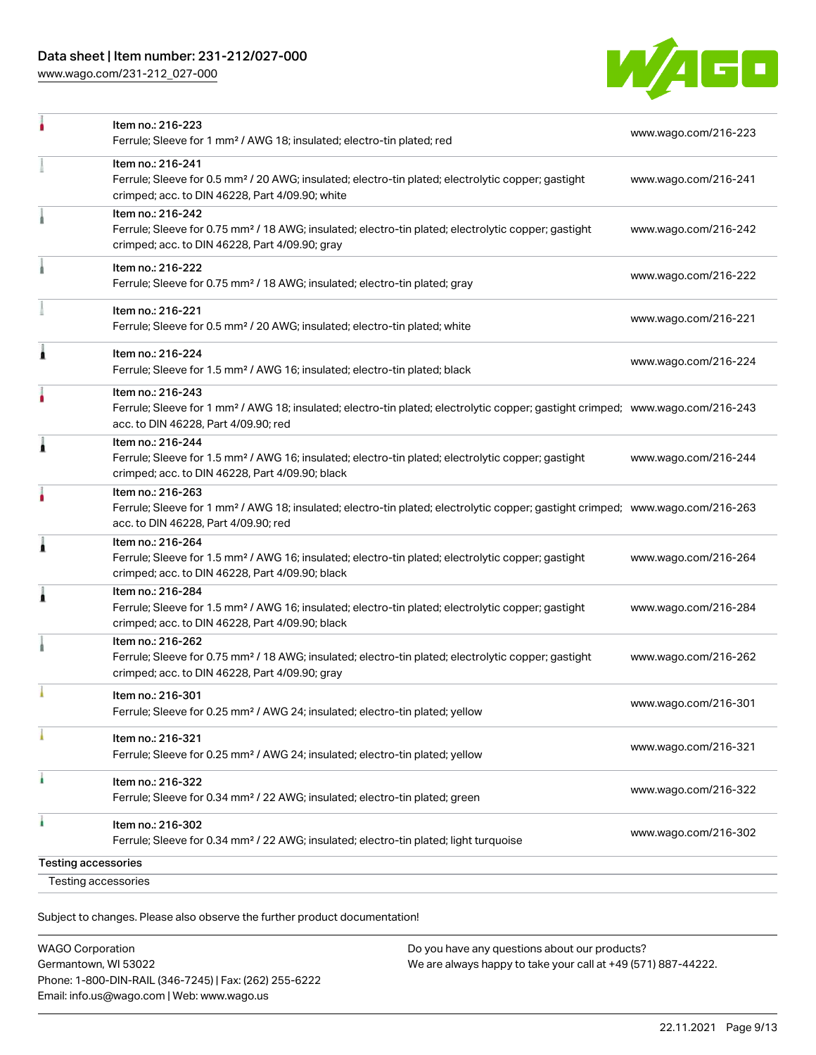### Data sheet | Item number: 231-212/027-000

[www.wago.com/231-212\\_027-000](http://www.wago.com/231-212_027-000)



|                            | Item no.: 216-223<br>Ferrule; Sleeve for 1 mm <sup>2</sup> / AWG 18; insulated; electro-tin plated; red                                                                                                 | www.wago.com/216-223 |
|----------------------------|---------------------------------------------------------------------------------------------------------------------------------------------------------------------------------------------------------|----------------------|
|                            | Item no.: 216-241<br>Ferrule; Sleeve for 0.5 mm <sup>2</sup> / 20 AWG; insulated; electro-tin plated; electrolytic copper; gastight<br>crimped; acc. to DIN 46228, Part 4/09.90; white                  | www.wago.com/216-241 |
|                            | Item no.: 216-242<br>Ferrule; Sleeve for 0.75 mm <sup>2</sup> / 18 AWG; insulated; electro-tin plated; electrolytic copper; gastight<br>crimped; acc. to DIN 46228, Part 4/09.90; gray                  | www.wago.com/216-242 |
|                            | Item no.: 216-222<br>Ferrule; Sleeve for 0.75 mm <sup>2</sup> / 18 AWG; insulated; electro-tin plated; gray                                                                                             | www.wago.com/216-222 |
|                            | Item no.: 216-221<br>Ferrule; Sleeve for 0.5 mm <sup>2</sup> / 20 AWG; insulated; electro-tin plated; white                                                                                             | www.wago.com/216-221 |
| 1                          | Item no.: 216-224<br>Ferrule; Sleeve for 1.5 mm <sup>2</sup> / AWG 16; insulated; electro-tin plated; black                                                                                             | www.wago.com/216-224 |
|                            | Item no.: 216-243<br>Ferrule; Sleeve for 1 mm <sup>2</sup> / AWG 18; insulated; electro-tin plated; electrolytic copper; gastight crimped; www.wago.com/216-243<br>acc. to DIN 46228, Part 4/09.90; red |                      |
| 1                          | Item no.: 216-244<br>Ferrule; Sleeve for 1.5 mm <sup>2</sup> / AWG 16; insulated; electro-tin plated; electrolytic copper; gastight<br>crimped; acc. to DIN 46228, Part 4/09.90; black                  | www.wago.com/216-244 |
|                            | Item no.: 216-263<br>Ferrule; Sleeve for 1 mm <sup>2</sup> / AWG 18; insulated; electro-tin plated; electrolytic copper; gastight crimped; www.wago.com/216-263<br>acc. to DIN 46228, Part 4/09.90; red |                      |
| Â                          | Item no.: 216-264<br>Ferrule; Sleeve for 1.5 mm <sup>2</sup> / AWG 16; insulated; electro-tin plated; electrolytic copper; gastight<br>crimped; acc. to DIN 46228, Part 4/09.90; black                  | www.wago.com/216-264 |
| 1                          | Item no.: 216-284<br>Ferrule; Sleeve for 1.5 mm <sup>2</sup> / AWG 16; insulated; electro-tin plated; electrolytic copper; gastight<br>crimped; acc. to DIN 46228, Part 4/09.90; black                  | www.wago.com/216-284 |
|                            | Item no.: 216-262<br>Ferrule; Sleeve for 0.75 mm <sup>2</sup> / 18 AWG; insulated; electro-tin plated; electrolytic copper; gastight<br>crimped; acc. to DIN 46228, Part 4/09.90; gray                  | www.wago.com/216-262 |
|                            | Item no.: 216-301<br>Ferrule; Sleeve for 0.25 mm <sup>2</sup> / AWG 24; insulated; electro-tin plated; yellow                                                                                           | www.wago.com/216-301 |
|                            | Item no.: 216-321<br>Ferrule; Sleeve for 0.25 mm <sup>2</sup> / AWG 24; insulated; electro-tin plated; yellow                                                                                           | www.wago.com/216-321 |
|                            | Item no.: 216-322<br>Ferrule; Sleeve for 0.34 mm <sup>2</sup> / 22 AWG; insulated; electro-tin plated; green                                                                                            | www.wago.com/216-322 |
|                            | Item no.: 216-302<br>Ferrule; Sleeve for 0.34 mm <sup>2</sup> / 22 AWG; insulated; electro-tin plated; light turquoise                                                                                  | www.wago.com/216-302 |
| <b>Testing accessories</b> |                                                                                                                                                                                                         |                      |
|                            | <b>Testing accessories</b>                                                                                                                                                                              |                      |

Subject to changes. Please also observe the further product documentation!

| <b>WAGO Corporation</b>                                |
|--------------------------------------------------------|
| Germantown, WI 53022                                   |
| Phone: 1-800-DIN-RAIL (346-7245)   Fax: (262) 255-6222 |
| Email: info.us@wago.com   Web: www.wago.us             |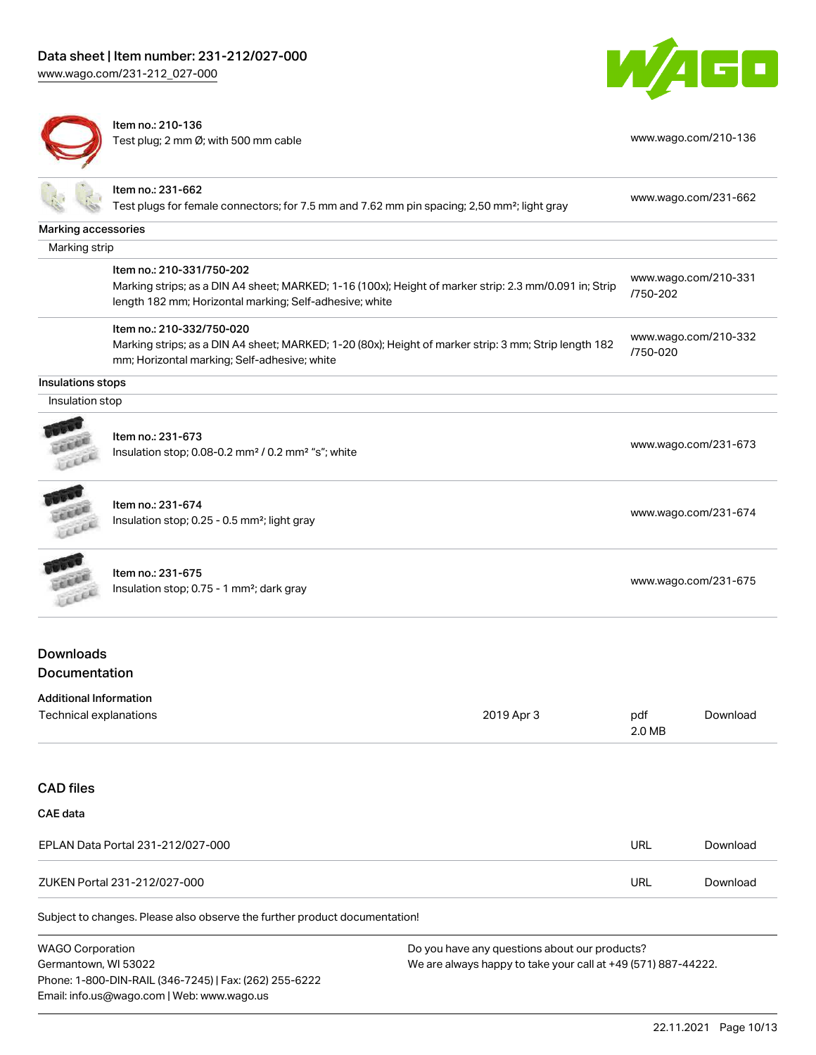[www.wago.com/231-212\\_027-000](http://www.wago.com/231-212_027-000)



Item no.: 210-136 Test plug; 2 mm Ø; with 500 mm cable [www.wago.com/210-136](http://www.wago.com/210-136)



|                                                         | Item no.: 231-662<br>Test plugs for female connectors; for 7.5 mm and 7.62 mm pin spacing; 2,50 mm <sup>2</sup> ; light gray                                                                   |            |                      | www.wago.com/231-662 |
|---------------------------------------------------------|------------------------------------------------------------------------------------------------------------------------------------------------------------------------------------------------|------------|----------------------|----------------------|
| Marking accessories                                     |                                                                                                                                                                                                |            |                      |                      |
| Marking strip                                           |                                                                                                                                                                                                |            |                      |                      |
|                                                         | Item no.: 210-331/750-202<br>Marking strips; as a DIN A4 sheet; MARKED; 1-16 (100x); Height of marker strip: 2.3 mm/0.091 in; Strip<br>length 182 mm; Horizontal marking; Self-adhesive; white |            | /750-202             | www.wago.com/210-331 |
|                                                         | Item no.: 210-332/750-020<br>Marking strips; as a DIN A4 sheet; MARKED; 1-20 (80x); Height of marker strip: 3 mm; Strip length 182<br>mm; Horizontal marking; Self-adhesive; white             |            | /750-020             | www.wago.com/210-332 |
| Insulations stops                                       |                                                                                                                                                                                                |            |                      |                      |
| Insulation stop                                         |                                                                                                                                                                                                |            |                      |                      |
|                                                         | Item no.: 231-673<br>Insulation stop; 0.08-0.2 mm <sup>2</sup> / 0.2 mm <sup>2</sup> "s"; white                                                                                                |            |                      | www.wago.com/231-673 |
|                                                         | Item no.: 231-674<br>Insulation stop; 0.25 - 0.5 mm <sup>2</sup> ; light gray                                                                                                                  |            |                      | www.wago.com/231-674 |
|                                                         | Item no.: 231-675<br>Insulation stop; 0.75 - 1 mm <sup>2</sup> ; dark gray                                                                                                                     |            | www.wago.com/231-675 |                      |
| <b>Downloads</b>                                        |                                                                                                                                                                                                |            |                      |                      |
| Documentation                                           |                                                                                                                                                                                                |            |                      |                      |
| <b>Additional Information</b><br>Technical explanations |                                                                                                                                                                                                | 2019 Apr 3 | pdf<br>2.0 MB        | Download             |

# CAE data

| EPLAN Data Portal 231-212/027-000 | URL | Download |
|-----------------------------------|-----|----------|
| ZUKEN Portal 231-212/027-000      | URL | Download |

Subject to changes. Please also observe the further product documentation!

WAGO Corporation Germantown, WI 53022 Phone: 1-800-DIN-RAIL (346-7245) | Fax: (262) 255-6222 Email: info.us@wago.com | Web: www.wago.us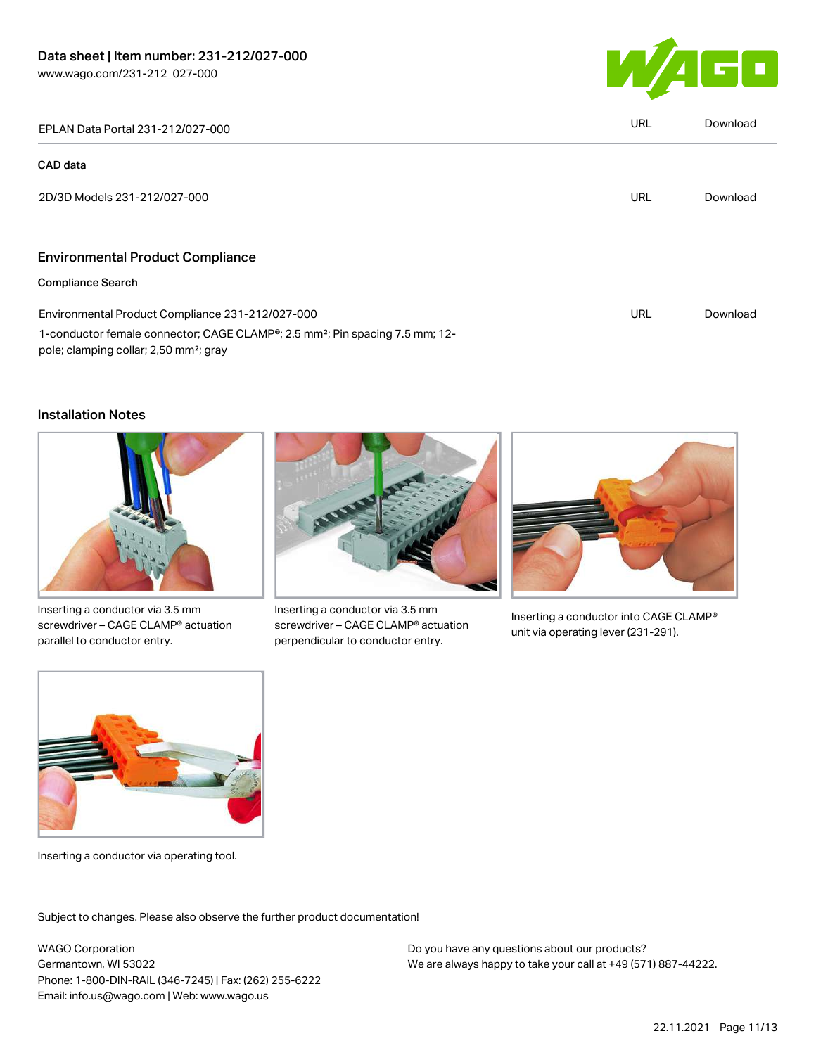

| EPLAN Data Portal 231-212/027-000                                                                                                                           | URL | Download |
|-------------------------------------------------------------------------------------------------------------------------------------------------------------|-----|----------|
| <b>CAD</b> data                                                                                                                                             |     |          |
| 2D/3D Models 231-212/027-000                                                                                                                                | URL | Download |
|                                                                                                                                                             |     |          |
| <b>Environmental Product Compliance</b>                                                                                                                     |     |          |
| <b>Compliance Search</b>                                                                                                                                    |     |          |
| Environmental Product Compliance 231-212/027-000                                                                                                            | URL | Download |
| 1-conductor female connector; CAGE CLAMP <sup>®</sup> ; 2.5 mm <sup>2</sup> ; Pin spacing 7.5 mm; 12-<br>pole; clamping collar; 2,50 mm <sup>2</sup> ; gray |     |          |

### Installation Notes



Inserting a conductor via 3.5 mm screwdriver – CAGE CLAMP® actuation parallel to conductor entry.



Inserting a conductor via 3.5 mm screwdriver – CAGE CLAMP® actuation perpendicular to conductor entry.



Inserting a conductor into CAGE CLAMP® unit via operating lever (231-291).



Inserting a conductor via operating tool.

Subject to changes. Please also observe the further product documentation!

WAGO Corporation Germantown, WI 53022 Phone: 1-800-DIN-RAIL (346-7245) | Fax: (262) 255-6222 Email: info.us@wago.com | Web: www.wago.us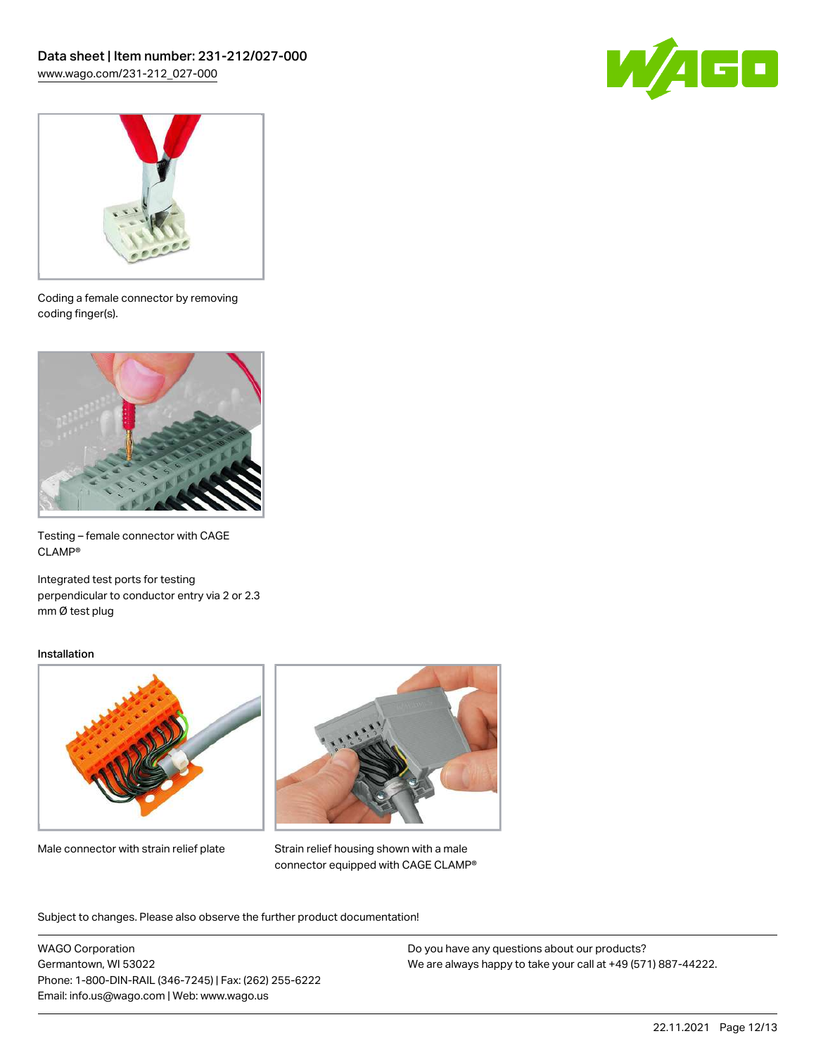



Coding a female connector by removing coding finger(s).



Testing – female connector with CAGE CLAMP®

Integrated test ports for testing perpendicular to conductor entry via 2 or 2.3 mm Ø test plug

#### Installation



Male connector with strain relief plate



Strain relief housing shown with a male connector equipped with CAGE CLAMP®

Subject to changes. Please also observe the further product documentation!

WAGO Corporation Germantown, WI 53022 Phone: 1-800-DIN-RAIL (346-7245) | Fax: (262) 255-6222 Email: info.us@wago.com | Web: www.wago.us